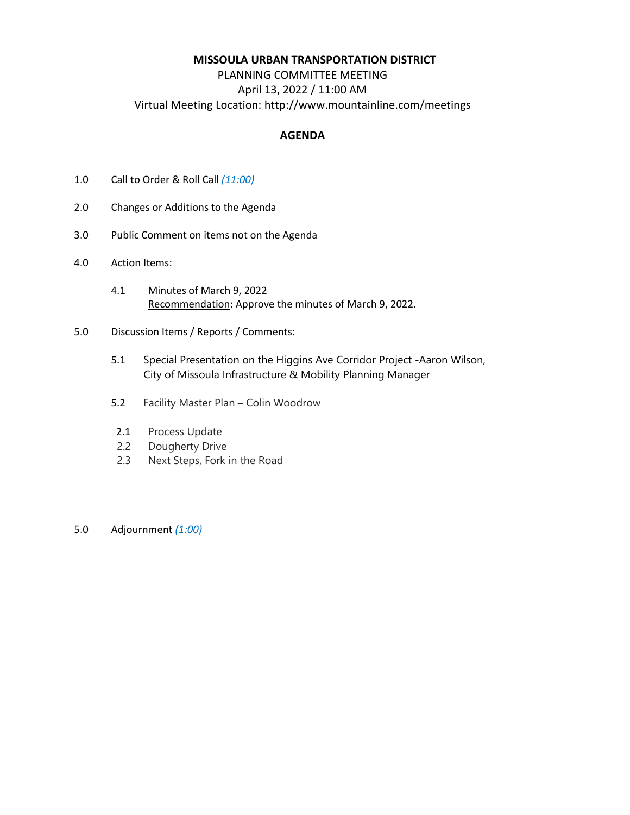#### **MISSOULA URBAN TRANSPORTATION DISTRICT**

# PLANNING COMMITTEE MEETING April 13, 2022 / 11:00 AM Virtual Meeting Location: http://www.mountainline.com/meetings

## **AGENDA**

- 1.0 Call to Order & Roll Call *(11:00)*
- 2.0 Changes or Additions to the Agenda
- 3.0 Public Comment on items not on the Agenda
- 4.0 Action Items:
	- 4.1 Minutes of March 9, 2022 Recommendation: Approve the minutes of March 9, 2022.
- 5.0 Discussion Items / Reports / Comments:
	- 5.1 Special Presentation on the Higgins Ave Corridor Project -Aaron Wilson, City of Missoula Infrastructure & Mobility Planning Manager
	- 5.2 Facility Master Plan Colin Woodrow
	- 2.1 Process Update
	- 2.2 Dougherty Drive
	- 2.3 Next Steps, Fork in the Road
- 5.0 Adjournment *(1:00)*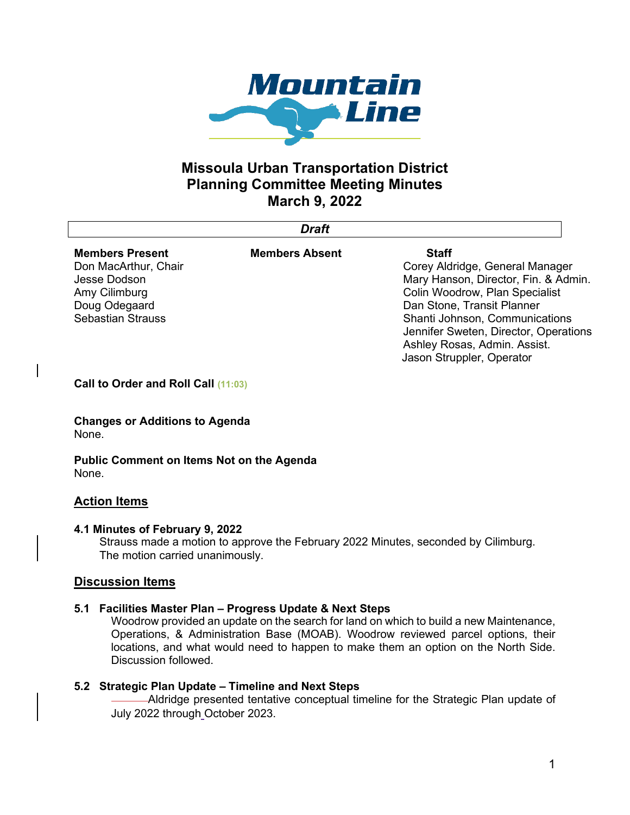

# **Missoula Urban Transportation District Planning Committee Meeting Minutes March 9, 2022**

*Draft*

| <b>Members Present</b>   | <b>Members Absent</b> | <b>Staff</b>                         |
|--------------------------|-----------------------|--------------------------------------|
| Don MacArthur, Chair     |                       | Corey Aldridge, General Manager      |
| Jesse Dodson             |                       | Mary Hanson, Director, Fin. & Admin. |
| Amy Cilimburg            |                       | Colin Woodrow, Plan Specialist       |
| Doug Odegaard            |                       | Dan Stone, Transit Planner           |
| <b>Sebastian Strauss</b> |                       | Shanti Johnson, Communications       |

**Call to Order and Roll Call (11:03)**

**Changes or Additions to Agenda** None.

**Public Comment on Items Not on the Agenda** None.

## **Action Items**

#### **4.1 Minutes of February 9, 2022**

Strauss made a motion to approve the February 2022 Minutes, seconded by Cilimburg. The motion carried unanimously.

## **Discussion Items**

#### **5.1 Facilities Master Plan – Progress Update & Next Steps**

Woodrow provided an update on the search for land on which to build a new Maintenance, Operations, & Administration Base (MOAB). Woodrow reviewed parcel options, their locations, and what would need to happen to make them an option on the North Side. Discussion followed.

#### **5.2 Strategic Plan Update – Timeline and Next Steps**

Aldridge presented tentative conceptual timeline for the Strategic Plan update of July 2022 through October 2023.

Jennifer Sweten, Director, Operations

Ashley Rosas, Admin. Assist. Jason Struppler, Operator